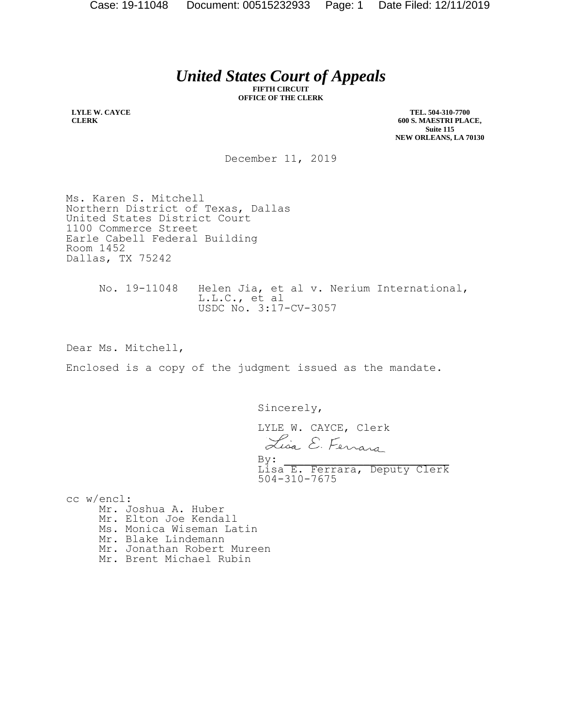## *United States Court of Appeals*

**FIFTH CIRCUIT OFFICE OF THE CLERK**

**LYLE W. CAYCE CLERK**

**TEL. 504-310-7700 600 S. MAESTRI PLACE, Suite 115 NEW ORLEANS, LA 70130**

December 11, 2019

Ms. Karen S. Mitchell Northern District of Texas, Dallas United States District Court 1100 Commerce Street Earle Cabell Federal Building Room 1452 Dallas, TX 75242

> No. 19-11048 Helen Jia, et al v. Nerium International, L.L.C., et al USDC No. 3:17-CV-3057

Dear Ms. Mitchell,

Enclosed is a copy of the judgment issued as the mandate.

Sincerely,

 LYLE W. CAYCE, Clerk Lisa E. Ferrara  $By:$ Lisa E. Ferrara, Deputy Clerk 504-310-7675

cc w/encl: Mr. Joshua A. Huber Mr. Elton Joe Kendall Ms. Monica Wiseman Latin Mr. Blake Lindemann Mr. Jonathan Robert Mureen Mr. Brent Michael Rubin